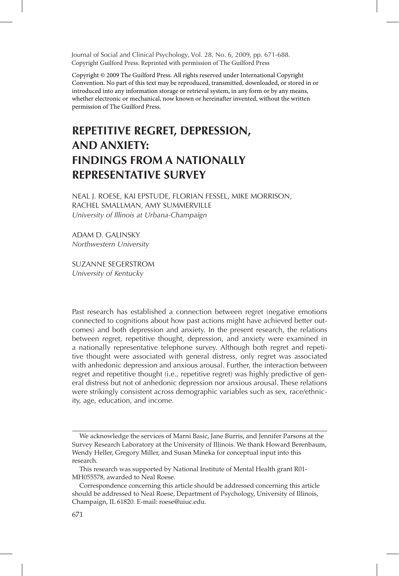Journal of Social and Clinical Psychology, Vol. 28, No. 6, 2009, pp. 671-688. Copyright Guilford Press. Reprinted with permission of The Guilford Press

Convention. No part of this text may be reproduced, transmitted, downloaded, or stored in or Copyright © 2009 The Guilford Press. All rights reserved under International Copyright introduced into any information storage or retrieval system, in any form or by any means, whether electronic or mechanical, now known or hereinafter invented, without the written permission of The Guilford Press.

# **Repetitive Regret, Depression, and Anxiety: Findings From a Nationally Representative Survey**

Neal J. Roese, Kai Epstude, Florian Fessel, Mike Morrison, Rachel Smallman, Amy Summerville *University of Illinois at Urbana-Champaign*

Adam D. Galinsky *Northwestern University*

Suzanne Segerstrom *University of Kentucky*

Past research has established a connection between regret (negative emotions connected to cognitions about how past actions might have achieved better outcomes) and both depression and anxiety. In the present research, the relations between regret, repetitive thought, depression, and anxiety were examined in a nationally representative telephone survey. Although both regret and repetitive thought were associated with general distress, only regret was associated with anhedonic depression and anxious arousal. Further, the interaction between regret and repetitive thought (i.e., repetitive regret) was highly predictive of general distress but not of anhedonic depression nor anxious arousal. These relations were strikingly consistent across demographic variables such as sex, race/ethnicity, age, education, and income.

We acknowledge the services of Marni Basic, Jane Burris, and Jennifer Parsons at the Survey Research Laboratory at the University of Illinois. We thank Howard Berenbaum, Wendy Heller, Gregory Miller, and Susan Mineka for conceptual input into this research.

This research was supported by National Institute of Mental Health grant R01- MH055578, awarded to Neal Roese.

Correspondence concerning this article should be addressed concerning this article should be addressed to Neal Roese, Department of Psychology, University of Illinois, Champaign, IL 61820. E-mail: roese@uiuc.edu.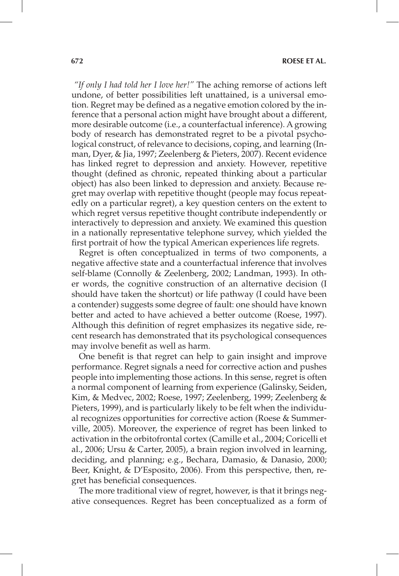*"If only I had told her I love her!"* The aching remorse of actions left undone, of better possibilities left unattained, is a universal emotion. Regret may be defined as a negative emotion colored by the inference that a personal action might have brought about a different, more desirable outcome (i.e., a counterfactual inference). A growing body of research has demonstrated regret to be a pivotal psychological construct, of relevance to decisions, coping, and learning (Inman, Dyer, & Jia, 1997; Zeelenberg & Pieters, 2007). Recent evidence has linked regret to depression and anxiety. However, repetitive thought (defined as chronic, repeated thinking about a particular object) has also been linked to depression and anxiety. Because regret may overlap with repetitive thought (people may focus repeatedly on a particular regret), a key question centers on the extent to which regret versus repetitive thought contribute independently or interactively to depression and anxiety. We examined this question in a nationally representative telephone survey, which yielded the first portrait of how the typical American experiences life regrets.

Regret is often conceptualized in terms of two components, a negative affective state and a counterfactual inference that involves self-blame (Connolly & Zeelenberg, 2002; Landman, 1993). In other words, the cognitive construction of an alternative decision (I should have taken the shortcut) or life pathway (I could have been a contender) suggests some degree of fault: one should have known better and acted to have achieved a better outcome (Roese, 1997). Although this definition of regret emphasizes its negative side, recent research has demonstrated that its psychological consequences may involve benefit as well as harm.

One benefit is that regret can help to gain insight and improve performance. Regret signals a need for corrective action and pushes people into implementing those actions. In this sense, regret is often a normal component of learning from experience (Galinsky, Seiden, Kim, & Medvec, 2002; Roese, 1997; Zeelenberg, 1999; Zeelenberg & Pieters, 1999), and is particularly likely to be felt when the individual recognizes opportunities for corrective action (Roese & Summerville, 2005). Moreover, the experience of regret has been linked to activation in the orbitofrontal cortex (Camille et al., 2004; Coricelli et al., 2006; Ursu & Carter, 2005), a brain region involved in learning, deciding, and planning; e.g., Bechara, Damasio, & Danasio, 2000; Beer, Knight, & D'Esposito, 2006). From this perspective, then, regret has beneficial consequences.

The more traditional view of regret, however, is that it brings negative consequences. Regret has been conceptualized as a form of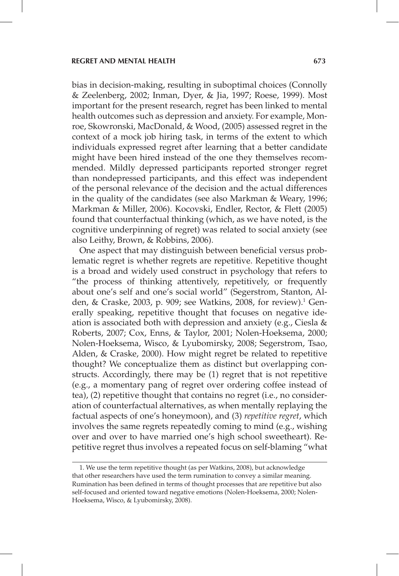bias in decision-making, resulting in suboptimal choices (Connolly & Zeelenberg, 2002; Inman, Dyer, & Jia, 1997; Roese, 1999). Most important for the present research, regret has been linked to mental health outcomes such as depression and anxiety. For example, Monroe, Skowronski, MacDonald, & Wood, (2005) assessed regret in the context of a mock job hiring task, in terms of the extent to which individuals expressed regret after learning that a better candidate might have been hired instead of the one they themselves recommended. Mildly depressed participants reported stronger regret than nondepressed participants, and this effect was independent of the personal relevance of the decision and the actual differences in the quality of the candidates (see also Markman & Weary, 1996; Markman & Miller, 2006). Kocovski, Endler, Rector, & Flett (2005) found that counterfactual thinking (which, as we have noted, is the cognitive underpinning of regret) was related to social anxiety (see also Leithy, Brown, & Robbins, 2006).

One aspect that may distinguish between beneficial versus problematic regret is whether regrets are repetitive. Repetitive thought is a broad and widely used construct in psychology that refers to "the process of thinking attentively, repetitively, or frequently about one's self and one's social world" (Segerstrom, Stanton, Alden, & Craske, 2003, p. 909; see Watkins, 2008, for review).<sup>1</sup> Generally speaking, repetitive thought that focuses on negative ideation is associated both with depression and anxiety (e.g., Ciesla & Roberts, 2007; Cox, Enns, & Taylor, 2001; Nolen-Hoeksema, 2000; Nolen-Hoeksema, Wisco, & Lyubomirsky, 2008; Segerstrom, Tsao, Alden, & Craske, 2000). How might regret be related to repetitive thought? We conceptualize them as distinct but overlapping constructs. Accordingly, there may be (1) regret that is not repetitive (e.g., a momentary pang of regret over ordering coffee instead of tea), (2) repetitive thought that contains no regret (i.e., no consideration of counterfactual alternatives, as when mentally replaying the factual aspects of one's honeymoon), and (3) *repetitive regret*, which involves the same regrets repeatedly coming to mind (e.g., wishing over and over to have married one's high school sweetheart). Repetitive regret thus involves a repeated focus on self-blaming "what

<sup>1.</sup> We use the term repetitive thought (as per Watkins, 2008), but acknowledge that other researchers have used the term rumination to convey a similar meaning. Rumination has been defined in terms of thought processes that are repetitive but also self-focused and oriented toward negative emotions (Nolen-Hoeksema, 2000; Nolen-Hoeksema, Wisco, & Lyubomirsky, 2008).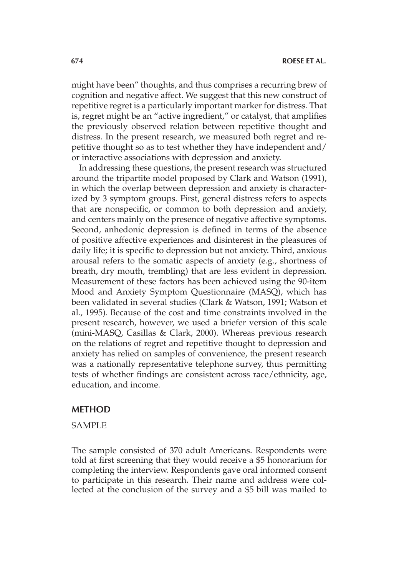might have been" thoughts, and thus comprises a recurring brew of cognition and negative affect. We suggest that this new construct of repetitive regret is a particularly important marker for distress. That is, regret might be an "active ingredient," or catalyst, that amplifies the previously observed relation between repetitive thought and distress. In the present research, we measured both regret and repetitive thought so as to test whether they have independent and/ or interactive associations with depression and anxiety.

In addressing these questions, the present research was structured around the tripartite model proposed by Clark and Watson (1991), in which the overlap between depression and anxiety is characterized by 3 symptom groups. First, general distress refers to aspects that are nonspecific, or common to both depression and anxiety, and centers mainly on the presence of negative affective symptoms. Second, anhedonic depression is defined in terms of the absence of positive affective experiences and disinterest in the pleasures of daily life; it is specific to depression but not anxiety. Third, anxious arousal refers to the somatic aspects of anxiety (e.g., shortness of breath, dry mouth, trembling) that are less evident in depression. Measurement of these factors has been achieved using the 90-item Mood and Anxiety Symptom Questionnaire (MASQ), which has been validated in several studies (Clark & Watson, 1991; Watson et al., 1995). Because of the cost and time constraints involved in the present research, however, we used a briefer version of this scale (mini-MASQ, Casillas & Clark, 2000). Whereas previous research on the relations of regret and repetitive thought to depression and anxiety has relied on samples of convenience, the present research was a nationally representative telephone survey, thus permitting tests of whether findings are consistent across race/ethnicity, age, education, and income.

#### **Method**

# **SAMPLE**

The sample consisted of 370 adult Americans. Respondents were told at first screening that they would receive a \$5 honorarium for completing the interview. Respondents gave oral informed consent to participate in this research. Their name and address were collected at the conclusion of the survey and a \$5 bill was mailed to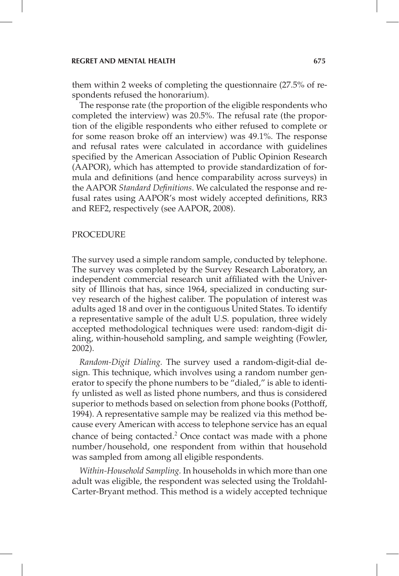them within 2 weeks of completing the questionnaire (27.5% of respondents refused the honorarium).

The response rate (the proportion of the eligible respondents who completed the interview) was 20.5%. The refusal rate (the proportion of the eligible respondents who either refused to complete or for some reason broke off an interview) was 49.1%. The response and refusal rates were calculated in accordance with guidelines specified by the American Association of Public Opinion Research (AAPOR), which has attempted to provide standardization of formula and definitions (and hence comparability across surveys) in the AAPOR *Standard Definitions*. We calculated the response and refusal rates using AAPOR's most widely accepted definitions, RR3 and REF2, respectively (see AAPOR, 2008).

# **PROCEDURE**

The survey used a simple random sample, conducted by telephone. The survey was completed by the Survey Research Laboratory, an independent commercial research unit affiliated with the University of Illinois that has, since 1964, specialized in conducting survey research of the highest caliber. The population of interest was adults aged 18 and over in the contiguous United States. To identify a representative sample of the adult U.S. population, three widely accepted methodological techniques were used: random-digit dialing, within-household sampling, and sample weighting (Fowler, 2002).

*Random-Digit Dialing.* The survey used a random-digit-dial design. This technique, which involves using a random number generator to specify the phone numbers to be "dialed," is able to identify unlisted as well as listed phone numbers, and thus is considered superior to methods based on selection from phone books (Potthoff, 1994). A representative sample may be realized via this method because every American with access to telephone service has an equal chance of being contacted.<sup>2</sup> Once contact was made with a phone number/household, one respondent from within that household was sampled from among all eligible respondents.

*Within-Household Sampling.* In households in which more than one adult was eligible, the respondent was selected using the Troldahl-Carter-Bryant method. This method is a widely accepted technique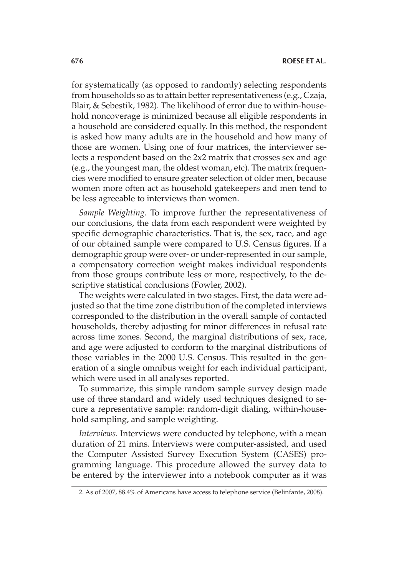for systematically (as opposed to randomly) selecting respondents from households so as to attain better representativeness (e.g., Czaja, Blair, & Sebestik, 1982). The likelihood of error due to within-household noncoverage is minimized because all eligible respondents in a household are considered equally. In this method, the respondent is asked how many adults are in the household and how many of those are women. Using one of four matrices, the interviewer selects a respondent based on the 2x2 matrix that crosses sex and age (e.g., the youngest man, the oldest woman, etc). The matrix frequencies were modified to ensure greater selection of older men, because women more often act as household gatekeepers and men tend to be less agreeable to interviews than women.

*Sample Weighting.* To improve further the representativeness of our conclusions, the data from each respondent were weighted by specific demographic characteristics. That is, the sex, race, and age of our obtained sample were compared to U.S. Census figures. If a demographic group were over- or under-represented in our sample, a compensatory correction weight makes individual respondents from those groups contribute less or more, respectively, to the descriptive statistical conclusions (Fowler, 2002).

The weights were calculated in two stages. First, the data were adjusted so that the time zone distribution of the completed interviews corresponded to the distribution in the overall sample of contacted households, thereby adjusting for minor differences in refusal rate across time zones. Second, the marginal distributions of sex, race, and age were adjusted to conform to the marginal distributions of those variables in the 2000 U.S. Census. This resulted in the generation of a single omnibus weight for each individual participant, which were used in all analyses reported.

To summarize, this simple random sample survey design made use of three standard and widely used techniques designed to secure a representative sample: random-digit dialing, within-household sampling, and sample weighting.

*Interviews.* Interviews were conducted by telephone, with a mean duration of 21 mins. Interviews were computer-assisted, and used the Computer Assisted Survey Execution System (CASES) programming language. This procedure allowed the survey data to be entered by the interviewer into a notebook computer as it was

<sup>2.</sup> As of 2007, 88.4% of Americans have access to telephone service (Belinfante, 2008).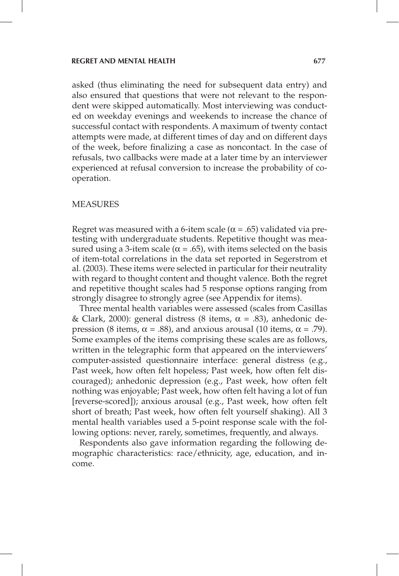asked (thus eliminating the need for subsequent data entry) and also ensured that questions that were not relevant to the respondent were skipped automatically. Most interviewing was conducted on weekday evenings and weekends to increase the chance of successful contact with respondents. A maximum of twenty contact attempts were made, at different times of day and on different days of the week, before finalizing a case as noncontact. In the case of refusals, two callbacks were made at a later time by an interviewer experienced at refusal conversion to increase the probability of cooperation.

#### Measures

Regret was measured with a 6-item scale ( $\alpha$  = .65) validated via pretesting with undergraduate students. Repetitive thought was measured using a 3-item scale ( $\alpha$  = .65), with items selected on the basis of item-total correlations in the data set reported in Segerstrom et al. (2003). These items were selected in particular for their neutrality with regard to thought content and thought valence. Both the regret and repetitive thought scales had 5 response options ranging from strongly disagree to strongly agree (see Appendix for items).

Three mental health variables were assessed (scales from Casillas & Clark, 2000): general distress (8 items,  $\alpha = .83$ ), anhedonic depression (8 items,  $\alpha$  = .88), and anxious arousal (10 items,  $\alpha$  = .79). Some examples of the items comprising these scales are as follows, written in the telegraphic form that appeared on the interviewers' computer-assisted questionnaire interface: general distress (e.g., Past week, how often felt hopeless; Past week, how often felt discouraged); anhedonic depression (e.g., Past week, how often felt nothing was enjoyable; Past week, how often felt having a lot of fun [reverse-scored]); anxious arousal (e.g., Past week, how often felt short of breath; Past week, how often felt yourself shaking). All 3 mental health variables used a 5-point response scale with the following options: never, rarely, sometimes, frequently, and always.

Respondents also gave information regarding the following demographic characteristics: race/ethnicity, age, education, and income.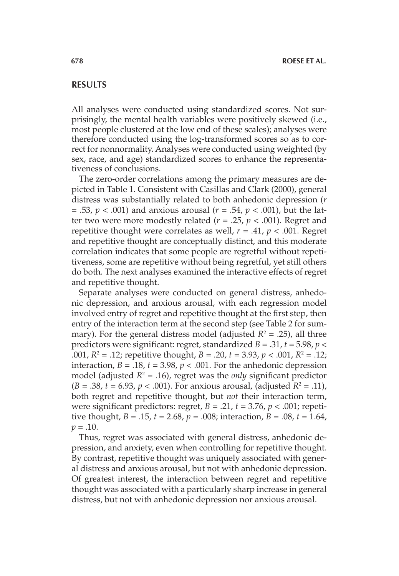# **Results**

All analyses were conducted using standardized scores. Not surprisingly, the mental health variables were positively skewed (i.e., most people clustered at the low end of these scales); analyses were therefore conducted using the log-transformed scores so as to correct for nonnormality. Analyses were conducted using weighted (by sex, race, and age) standardized scores to enhance the representativeness of conclusions.

The zero-order correlations among the primary measures are depicted in Table 1. Consistent with Casillas and Clark (2000), general distress was substantially related to both anhedonic depression (*r* = .53, *p* < .001) and anxious arousal (*r* = .54, *p* < .001), but the latter two were more modestly related (*r* = .25, *p* < .001). Regret and repetitive thought were correlates as well,  $r = .41$ ,  $p < .001$ . Regret and repetitive thought are conceptually distinct, and this moderate correlation indicates that some people are regretful without repetitiveness, some are repetitive without being regretful, yet still others do both. The next analyses examined the interactive effects of regret and repetitive thought.

Separate analyses were conducted on general distress, anhedonic depression, and anxious arousal, with each regression model involved entry of regret and repetitive thought at the first step, then entry of the interaction term at the second step (see Table 2 for summary). For the general distress model (adjusted  $R^2 = .25$ ), all three predictors were significant: regret, standardized *B* = .31, *t* = 5.98, *p* < .001, *R*<sup>2</sup>  *=* .12; repetitive thought, *B* = .20, *t* = 3.93, *p* < .001, *R*<sup>2</sup>  *=* .12; interaction,  $B = .18$ ,  $t = 3.98$ ,  $p < .001$ . For the anhedonic depression model (adjusted  $R^2 = .16$ ), regret was the *only* significant predictor  $(B = .38, t = 6.93, p < .001)$ . For anxious arousal, (adjusted  $R^2 = .11$ ), both regret and repetitive thought, but *not* their interaction term, were significant predictors: regret,  $B = .21$ ,  $t = 3.76$ ,  $p < .001$ ; repetitive thought, *B* = .15, *t* = 2.68, *p* = .008; interaction, *B* = .08, *t* = 1.64,  $p = .10$ .

Thus, regret was associated with general distress, anhedonic depression, and anxiety, even when controlling for repetitive thought. By contrast, repetitive thought was uniquely associated with general distress and anxious arousal, but not with anhedonic depression. Of greatest interest, the interaction between regret and repetitive thought was associated with a particularly sharp increase in general distress, but not with anhedonic depression nor anxious arousal.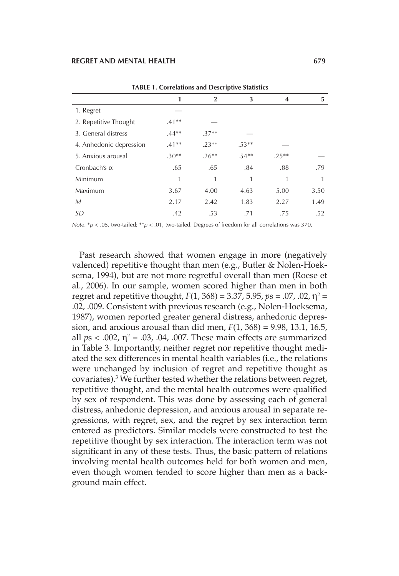| mole is correlations and bescriptive statistics |         |                |         |                         |      |  |  |
|-------------------------------------------------|---------|----------------|---------|-------------------------|------|--|--|
|                                                 | 1       | $\overline{2}$ | 3       | $\overline{\mathbf{4}}$ | 5    |  |  |
| 1. Regret                                       |         |                |         |                         |      |  |  |
| 2. Repetitive Thought                           | $.41**$ |                |         |                         |      |  |  |
| 3. General distress                             | $.44**$ | $.37**$        |         |                         |      |  |  |
| 4. Anhedonic depression                         | $.41**$ | $.23**$        | $.53**$ |                         |      |  |  |
| 5. Anxious arousal                              | $.30**$ | $.26**$        | $.54**$ | $.25***$                |      |  |  |
| Cronbach's $\alpha$                             | .65     | .65            | .84     | .88                     | .79  |  |  |
| Minimum                                         |         |                | 1       |                         |      |  |  |
| Maximum                                         | 3.67    | 4.00           | 4.63    | 5.00                    | 3.50 |  |  |
| М                                               | 2.17    | 2.42           | 1.83    | 2.27                    | 1.49 |  |  |
| SD                                              | .42     | .53            | .71     | .75                     | .52  |  |  |

**TABLE 1. Correlations and Descriptive Statistics**

*Note*. \**p* < .05, two-tailed; \*\**p* < .01, two-tailed. Degrees of freedom for all correlations was 370.

Past research showed that women engage in more (negatively valenced) repetitive thought than men (e.g., Butler & Nolen-Hoeksema, 1994), but are not more regretful overall than men (Roese et al., 2006). In our sample, women scored higher than men in both regret and repetitive thought,  $F(1, 368) = 3.37, 5.95, ps = .07, .02, η<sup>2</sup> =$ .02, .009. Consistent with previous research (e.g., Nolen-Hoeksema, 1987), women reported greater general distress, anhedonic depression, and anxious arousal than did men, *F*(1, 368) = 9.98, 13.1, 16.5, all  $ps < .002$ ,  $\eta^2 = .03$ ,  $.04$ ,  $.007$ . These main effects are summarized in Table 3. Importantly, neither regret nor repetitive thought mediated the sex differences in mental health variables (i.e., the relations were unchanged by inclusion of regret and repetitive thought as covariates).3 We further tested whether the relations between regret, repetitive thought, and the mental health outcomes were qualified by sex of respondent. This was done by assessing each of general distress, anhedonic depression, and anxious arousal in separate regressions, with regret, sex, and the regret by sex interaction term entered as predictors. Similar models were constructed to test the repetitive thought by sex interaction. The interaction term was not significant in any of these tests. Thus, the basic pattern of relations involving mental health outcomes held for both women and men, even though women tended to score higher than men as a background main effect.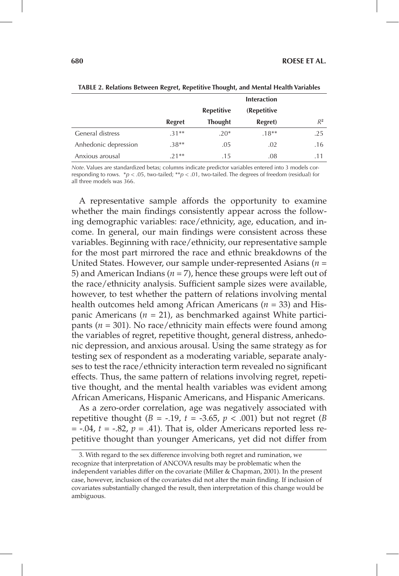|                      |               | <b>Repetitive</b> | (Repetitive |       |
|----------------------|---------------|-------------------|-------------|-------|
|                      | <b>Regret</b> | <b>Thought</b>    | Regret)     | $R^2$ |
| General distress     | $.31**$       | $.20*$            | $.18**$     | .25   |
| Anhedonic depression | $.38**$       | .05               | .02         | .16   |
| Anxious arousal      | $21**$        | .15               | .08         | .11   |

| TABLE 2. Relations Between Regret, Repetitive Thought, and Mental Health Variables |  |
|------------------------------------------------------------------------------------|--|
|------------------------------------------------------------------------------------|--|

*Note*. Values are standardized betas; columns indicate predictor variables entered into 3 models corresponding to rows.  $*_p$  < .05, two-tailed;  $*_p$  < .01, two-tailed. The degrees of freedom (residual) for all three models was 366.

A representative sample affords the opportunity to examine whether the main findings consistently appear across the following demographic variables: race/ethnicity, age, education, and income. In general, our main findings were consistent across these variables. Beginning with race/ethnicity, our representative sample for the most part mirrored the race and ethnic breakdowns of the United States. However, our sample under-represented Asians (*n* = 5) and American Indians (*n* = 7), hence these groups were left out of the race/ethnicity analysis. Sufficient sample sizes were available, however, to test whether the pattern of relations involving mental health outcomes held among African Americans (*n* = 33) and Hispanic Americans (*n* = 21), as benchmarked against White participants ( $n = 301$ ). No race/ethnicity main effects were found among the variables of regret, repetitive thought, general distress, anhedonic depression, and anxious arousal. Using the same strategy as for testing sex of respondent as a moderating variable, separate analyses to test the race/ethnicity interaction term revealed no significant effects. Thus, the same pattern of relations involving regret, repetitive thought, and the mental health variables was evident among African Americans, Hispanic Americans, and Hispanic Americans.

As a zero-order correlation, age was negatively associated with repetitive thought ( $B = -.19$ ,  $t = -3.65$ ,  $p < .001$ ) but not regret ( $B$  $=$  -.04,  $t = -0.82$ ,  $p = 0.41$ . That is, older Americans reported less repetitive thought than younger Americans, yet did not differ from

<sup>3.</sup> With regard to the sex difference involving both regret and rumination, we

recognize that interpretation of ANCOVA results may be problematic when the independent variables differ on the covariate (Miller & Chapman, 2001). In the present case, however, inclusion of the covariates did not alter the main finding. If inclusion of covariates substantially changed the result, then interpretation of this change would be ambiguous.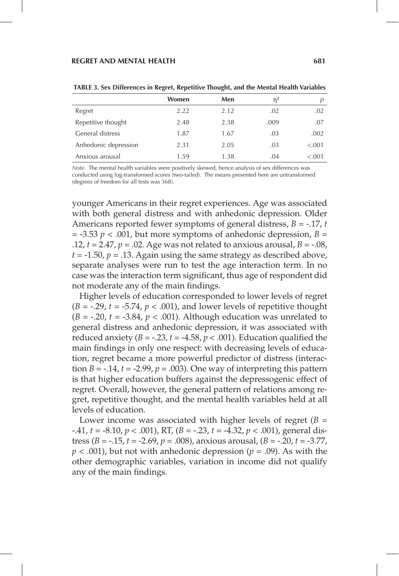|                      | Women | Men  | $\eta^2$ |         |
|----------------------|-------|------|----------|---------|
| Regret               | 2.22  | 2.12 | .02      | .02     |
| Repetitive thought   | 2.48  | 2.38 | .009     | .07     |
| General distress     | 1.87  | 1.67 | .03      | .002    |
| Anhedonic depression | 2.31  | 2.05 | .03      | < 0.001 |
| Anxious arousal      | 1.59  | 1.38 | .04      | $-.001$ |

**TABLE 3. Sex Differences in Regret, Repetitive Thought, and the Mental Health Variables**

*Note*. The mental health variables were positively skewed, hence analysis of sex differences was conducted using log-transformed scores (two-tailed). The means presented here are untransformed (degrees of freedom for all tests was 368).

younger Americans in their regret experiences. Age was associated with both general distress and with anhedonic depression. Older Americans reported fewer symptoms of general distress, *B* = -.17, *t*  $=$  -3.53  $p < .001$ , but more symptoms of anhedonic depression,  $B =$ .12,  $t = 2.47$ ,  $p = .02$ . Age was not related to anxious arousal,  $B = -.08$ ,  $t = -1.50$ ,  $p = .13$ . Again using the same strategy as described above, separate analyses were run to test the age interaction term. In no case was the interaction term significant, thus age of respondent did not moderate any of the main findings.

Higher levels of education corresponded to lower levels of regret  $(B = -0.29, t = -5.74, p < 0.001)$ , and lower levels of repetitive thought  $(B = -0.20, t = -3.84, p < 0.001)$ . Although education was unrelated to general distress and anhedonic depression, it was associated with reduced anxiety ( $B = -0.23$ ,  $t = -4.58$ ,  $p < 0.001$ ). Education qualified the main findings in only one respect: with decreasing levels of education, regret became a more powerful predictor of distress (interaction  $B = -0.14$ ,  $t = -2.99$ ,  $p = 0.003$ ). One way of interpreting this pattern is that higher education buffers against the depressogenic effect of regret. Overall, however, the general pattern of relations among regret, repetitive thought, and the mental health variables held at all levels of education.

Lower income was associated with higher levels of regret  $(B =$ -.41, *t* = -8.10, *p* < .001), RT, (*B* = -.23, *t* = -4.32, *p* < .001), general distress (*B* = -.15, *t* = -2.69, *p* = .008), anxious arousal, (*B* = -.20, *t* = -3.77,  $p < .001$ ), but not with anhedonic depression ( $p = .09$ ). As with the other demographic variables, variation in income did not qualify any of the main findings.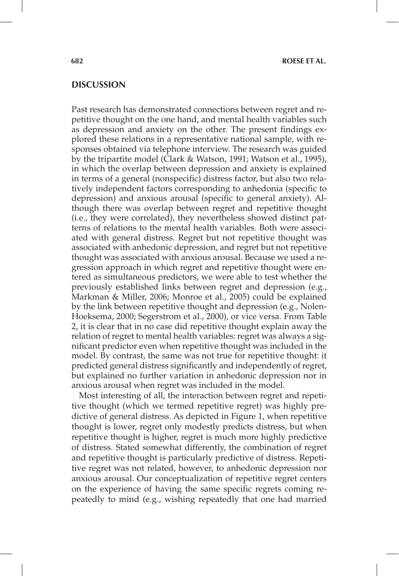# **Discussion**

Past research has demonstrated connections between regret and repetitive thought on the one hand, and mental health variables such as depression and anxiety on the other. The present findings explored these relations in a representative national sample, with responses obtained via telephone interview. The research was guided by the tripartite model (Clark & Watson, 1991; Watson et al., 1995), in which the overlap between depression and anxiety is explained in terms of a general (nonspecific) distress factor, but also two relatively independent factors corresponding to anhedonia (specific to depression) and anxious arousal (specific to general anxiety). Although there was overlap between regret and repetitive thought (i.e., they were correlated), they nevertheless showed distinct patterns of relations to the mental health variables. Both were associated with general distress. Regret but not repetitive thought was associated with anhedonic depression, and regret but not repetitive thought was associated with anxious arousal. Because we used a regression approach in which regret and repetitive thought were entered as simultaneous predictors, we were able to test whether the previously established links between regret and depression (e.g., Markman & Miller, 2006; Monroe et al., 2005) could be explained by the link between repetitive thought and depression (e.g., Nolen-Hoeksema, 2000; Segerstrom et al., 2000), or vice versa. From Table 2, it is clear that in no case did repetitive thought explain away the relation of regret to mental health variables: regret was always a significant predictor even when repetitive thought was included in the model. By contrast, the same was not true for repetitive thought: it predicted general distress significantly and independently of regret, but explained no further variation in anhedonic depression nor in anxious arousal when regret was included in the model.

Most interesting of all, the interaction between regret and repetitive thought (which we termed repetitive regret) was highly predictive of general distress. As depicted in Figure 1, when repetitive thought is lower, regret only modestly predicts distress, but when repetitive thought is higher, regret is much more highly predictive of distress. Stated somewhat differently, the combination of regret and repetitive thought is particularly predictive of distress. Repetitive regret was not related, however, to anhedonic depression nor anxious arousal. Our conceptualization of repetitive regret centers on the experience of having the same specific regrets coming repeatedly to mind (e.g., wishing repeatedly that one had married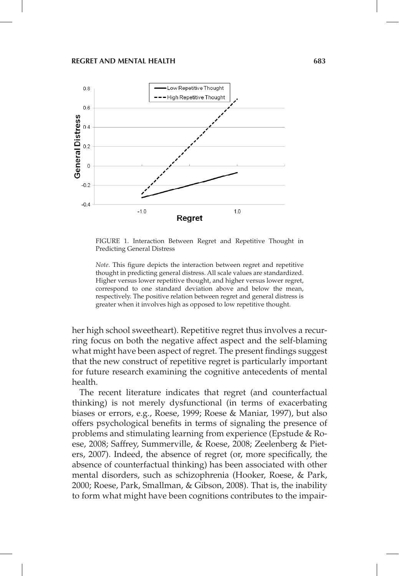

FIGURE 1. Interaction Between Regret and Repetitive Thought in Predicting General Distress

*Note*. This figure depicts the interaction between regret and repetitive thought in predicting general distress. All scale values are standardized. Higher versus lower repetitive thought, and higher versus lower regret, correspond to one standard deviation above and below the mean, respectively. The positive relation between regret and general distress is greater when it involves high as opposed to low repetitive thought.

her high school sweetheart). Repetitive regret thus involves a recurring focus on both the negative affect aspect and the self-blaming what might have been aspect of regret. The present findings suggest that the new construct of repetitive regret is particularly important for future research examining the cognitive antecedents of mental health.

The recent literature indicates that regret (and counterfactual thinking) is not merely dysfunctional (in terms of exacerbating biases or errors, e.g., Roese, 1999; Roese & Maniar, 1997), but also offers psychological benefits in terms of signaling the presence of problems and stimulating learning from experience (Epstude & Roese, 2008; Saffrey, Summerville, & Roese, 2008; Zeelenberg & Pieters, 2007). Indeed, the absence of regret (or, more specifically, the absence of counterfactual thinking) has been associated with other mental disorders, such as schizophrenia (Hooker, Roese, & Park, 2000; Roese, Park, Smallman, & Gibson, 2008). That is, the inability to form what might have been cognitions contributes to the impair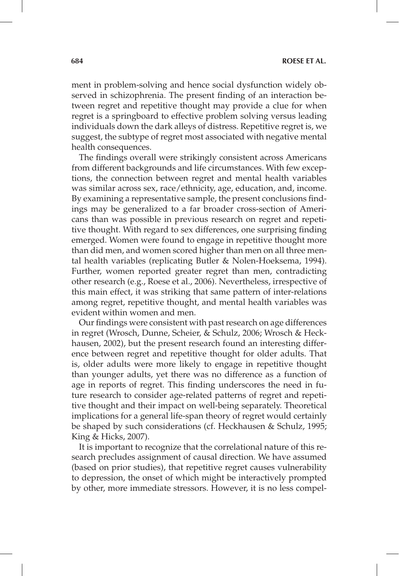ment in problem-solving and hence social dysfunction widely observed in schizophrenia. The present finding of an interaction between regret and repetitive thought may provide a clue for when regret is a springboard to effective problem solving versus leading individuals down the dark alleys of distress. Repetitive regret is, we suggest, the subtype of regret most associated with negative mental health consequences.

The findings overall were strikingly consistent across Americans from different backgrounds and life circumstances. With few exceptions, the connection between regret and mental health variables was similar across sex, race/ethnicity, age, education, and, income. By examining a representative sample, the present conclusions findings may be generalized to a far broader cross-section of Americans than was possible in previous research on regret and repetitive thought. With regard to sex differences, one surprising finding emerged. Women were found to engage in repetitive thought more than did men, and women scored higher than men on all three mental health variables (replicating Butler & Nolen-Hoeksema, 1994). Further, women reported greater regret than men, contradicting other research (e.g., Roese et al., 2006). Nevertheless, irrespective of this main effect, it was striking that same pattern of inter-relations among regret, repetitive thought, and mental health variables was evident within women and men.

Our findings were consistent with past research on age differences in regret (Wrosch, Dunne, Scheier, & Schulz, 2006; Wrosch & Heckhausen, 2002), but the present research found an interesting difference between regret and repetitive thought for older adults. That is, older adults were more likely to engage in repetitive thought than younger adults, yet there was no difference as a function of age in reports of regret. This finding underscores the need in future research to consider age-related patterns of regret and repetitive thought and their impact on well-being separately. Theoretical implications for a general life-span theory of regret would certainly be shaped by such considerations (cf. Heckhausen & Schulz, 1995; King & Hicks, 2007).

It is important to recognize that the correlational nature of this research precludes assignment of causal direction. We have assumed (based on prior studies), that repetitive regret causes vulnerability to depression, the onset of which might be interactively prompted by other, more immediate stressors. However, it is no less compel-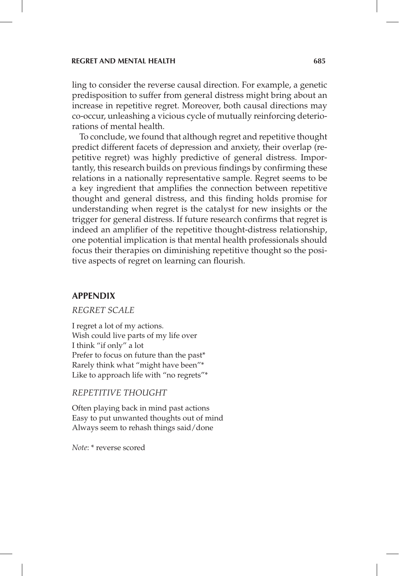ling to consider the reverse causal direction. For example, a genetic predisposition to suffer from general distress might bring about an increase in repetitive regret. Moreover, both causal directions may co-occur, unleashing a vicious cycle of mutually reinforcing deteriorations of mental health.

To conclude, we found that although regret and repetitive thought predict different facets of depression and anxiety, their overlap (repetitive regret) was highly predictive of general distress. Importantly, this research builds on previous findings by confirming these relations in a nationally representative sample. Regret seems to be a key ingredient that amplifies the connection between repetitive thought and general distress, and this finding holds promise for understanding when regret is the catalyst for new insights or the trigger for general distress. If future research confirms that regret is indeed an amplifier of the repetitive thought-distress relationship, one potential implication is that mental health professionals should focus their therapies on diminishing repetitive thought so the positive aspects of regret on learning can flourish.

# **Appendix**

*Regret Scale* 

I regret a lot of my actions. Wish could live parts of my life over I think "if only" a lot Prefer to focus on future than the past\* Rarely think what "might have been"\* Like to approach life with "no regrets"\*

# *Repetitive Thought*

Often playing back in mind past actions Easy to put unwanted thoughts out of mind Always seem to rehash things said/done

*Note*: \* reverse scored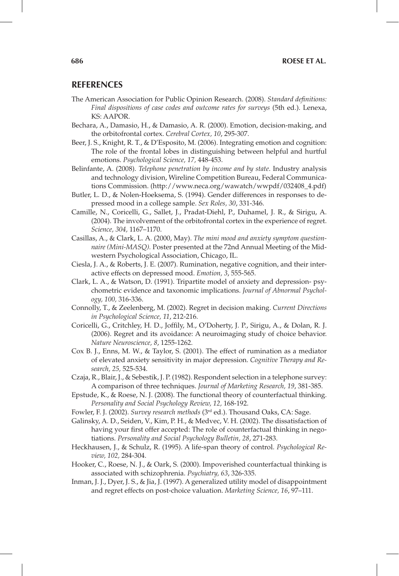#### **References**

- The American Association for Public Opinion Research. (2008). *Standard definitions: Final dispositions of case codes and outcome rates for surveys* (5th ed.). Lenexa, KS: AAPOR.
- Bechara, A., Damasio, H., & Damasio, A. R. (2000). Emotion, decision-making, and the orbitofrontal cortex. *Cerebral Cortex, 10*, 295-307.
- Beer, J. S., Knight, R. T., & D'Esposito, M. (2006). Integrating emotion and cognition: The role of the frontal lobes in distinguishing between helpful and hurtful emotions. *Psychological Science, 17,* 448-453.
- Belinfante, A. (2008). *Telephone penetration by income and by state*. Industry analysis and technology division, Wireline Competition Bureau, Federal Communications Commission. (http://www.neca.org/wawatch/wwpdf/032408\_4.pdf)
- Butler, L. D., & Nolen-Hoeksema, S. (1994). Gender differences in responses to depressed mood in a college sample. *Sex Roles, 30*, 331-346.
- Camille, N., Coricelli, G., Sallet, J., Pradat-Diehl, P., Duhamel, J. R., & Sirigu, A. (2004). The involvement of the orbitofrontal cortex in the experience of regret. *Science, 304,* 1167–1170.
- Casillas, A., & Clark, L. A. (2000, May). *The mini mood and anxiety symptom questionnaire (Mini-MASQ).* Poster presented at the 72nd Annual Meeting of the Midwestern Psychological Association, Chicago, IL.
- Ciesla, J. A., & Roberts, J. E. (2007). Rumination, negative cognition, and their interactive effects on depressed mood. *Emotion, 3*, 555-565.
- Clark, L. A., & Watson, D. (1991). Tripartite model of anxiety and depression- psychometric evidence and taxonomic implications. *Journal of Abnormal Psychology, 100,* 316-336.
- Connolly, T., & Zeelenberg, M. (2002). Regret in decision making. *Current Directions in Psychological Science, 11*, 212-216.
- Coricelli, G., Critchley, H. D., Joffily, M., O'Doherty, J. P., Sirigu, A., & Dolan, R. J. (2006). Regret and its avoidance: A neuroimaging study of choice behavior. *Nature Neuroscience, 8*, 1255-1262.
- Cox B. J., Enns, M. W., & Taylor, S. (2001). The effect of rumination as a mediator of elevated anxiety sensitivity in major depression. *Cognitive Therapy and Research, 25,* 525-534.
- Czaja, R., Blair, J., & Sebestik, J. P. (1982). Respondent selection in a telephone survey: A comparison of three techniques. *Journal of Marketing Research, 19*, 381-385.
- Epstude, K., & Roese, N. J. (2008). The functional theory of counterfactual thinking. *Personality and Social Psychology Review, 12,* 168-192.
- Fowler, F. J. (2002). *Survey research methods* (3rd ed.). Thousand Oaks, CA: Sage.
- Galinsky, A. D., Seiden, V., Kim, P. H., & Medvec, V. H. (2002). The dissatisfaction of having your first offer accepted: The role of counterfactual thinking in negotiations. *Personality and Social Psychology Bulletin, 28*, 271-283.
- Heckhausen, J., & Schulz, R. (1995). A life-span theory of control. *Psychological Review, 102,* 284-304.
- Hooker, C., Roese, N. J., & Oark, S. (2000). Impoverished counterfactual thinking is associated with schizophrenia. *Psychiatry, 63*, 326-335.
- Inman, J. J., Dyer, J. S., & Jia, J. (1997). A generalized utility model of disappointment and regret effects on post-choice valuation. *Marketing Science, 16*, 97–111.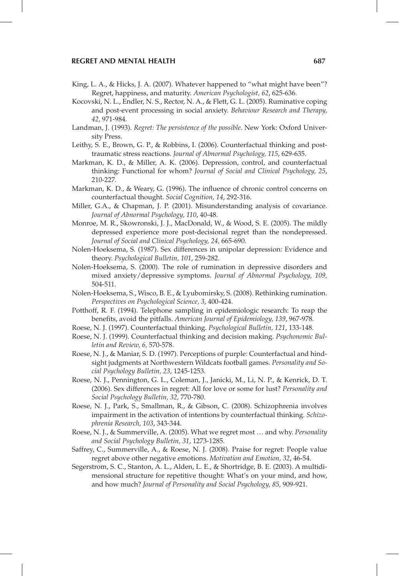- King, L. A., & Hicks, J. A. (2007). Whatever happened to "what might have been"? Regret, happiness, and maturity. *American Psychologist, 62*, 625-636.
- Kocovski, N. L., Endler, N. S., Rector, N. A., & Flett, G. L. (2005). Ruminative coping and post-event processing in social anxiety. *Behaviour Research and Therapy, 42,* 971-984.
- Landman, J. (1993). *Regret: The persistence of the possible*. New York: Oxford University Press.
- Leithy, S. E., Brown, G. P., & Robbins, I. (2006). Counterfactual thinking and posttraumatic stress reactions. *Journal of Abnormal Psychology, 115*, 629-635.
- Markman, K. D., & Miller, A. K. (2006). Depression, control, and counterfactual thinking: Functional for whom? *Journal of Social and Clinical Psychology, 25*, 210-227.
- Markman, K. D., & Weary, G. (1996). The influence of chronic control concerns on counterfactual thought. *Social Cognition, 14*, 292-316.
- Miller, G.A., & Chapman, J. P. (2001). Misunderstanding analysis of covariance. *Journal of Abnormal Psychology, 110*, 40-48.
- Monroe, M. R., Skowronski, J. J., MacDonald, W., & Wood, S. E. (2005). The mildly depressed experience more post-decisional regret than the nondepressed. *Journal of Social and Clinical Psychology, 24,* 665-690.
- Nolen-Hoeksema, S. (1987). Sex differences in unipolar depression: Evidence and theory. *Psychological Bulletin, 101*, 259-282.
- Nolen-Hoeksema, S. (2000). The role of rumination in depressive disorders and mixed anxiety/depressive symptoms. *Journal of Abnormal Psychology, 109,*  504-511.
- Nolen-Hoeksema, S., Wisco, B. E., & Lyubomirsky, S. (2008). Rethinking rumination. *Perspectives on Psychological Science, 3*, 400-424.
- Potthoff, R. F. (1994). Telephone sampling in epidemiologic research: To reap the benefits, avoid the pitfalls. *American Journal of Epidemiology, 139*, 967-978.
- Roese, N. J. (1997). Counterfactual thinking. *Psychological Bulletin, 121*, 133-148.
- Roese, N. J. (1999). Counterfactual thinking and decision making. *Psychonomic Bulletin and Review, 6,* 570-578.
- Roese, N. J., & Maniar, S. D. (1997). Perceptions of purple: Counterfactual and hindsight judgments at Northwestern Wildcats football games. *Personality and Social Psychology Bulletin, 23*, 1245-1253.
- Roese, N. J., Pennington, G. L., Coleman, J., Janicki, M., Li, N. P., & Kenrick, D. T. (2006). Sex differences in regret: All for love or some for lust? *Personality and Social Psychology Bulletin, 32,* 770-780.
- Roese, N. J., Park, S., Smallman, R., & Gibson, C. (2008). Schizophrenia involves impairment in the activation of intentions by counterfactual thinking. *Schizophrenia Research, 103*, 343-344.
- Roese, N. J., & Summerville, A. (2005). What we regret most … and why. *Personality and Social Psychology Bulletin, 31*, 1273-1285.
- Saffrey, C., Summerville, A., & Roese, N. J. (2008). Praise for regret: People value regret above other negative emotions. *Motivation and Emotion, 32*, 46-54.
- Segerstrom, S. C., Stanton, A. L., Alden, L. E., & Shortridge, B. E. (2003). A multidimensional structure for repetitive thought: What's on your mind, and how, and how much? *Journal of Personality and Social Psychology, 85,* 909-921.